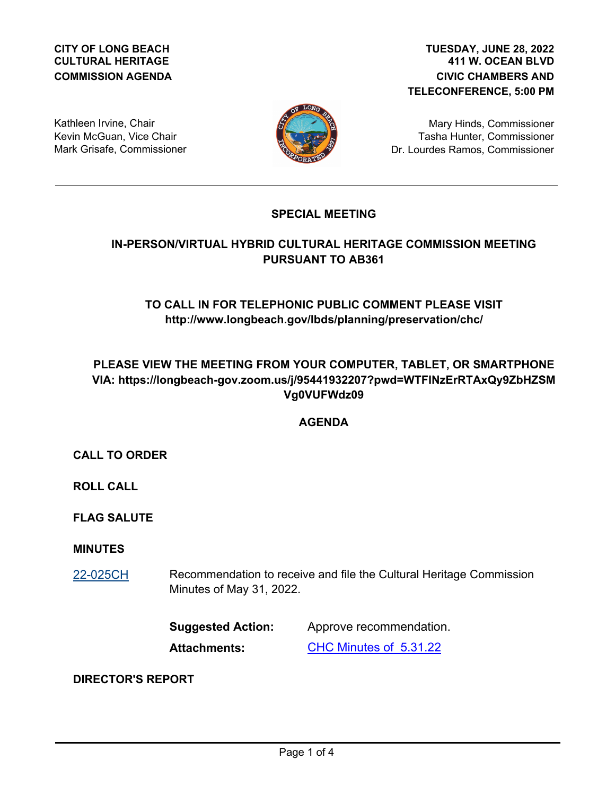### **CITY OF LONG BEACH CULTURAL HERITAGE COMMISSION AGENDA**

## **411 W. OCEAN BLVD CIVIC CHAMBERS AND TELECONFERENCE, 5:00 PM TUESDAY, JUNE 28, 2022**

Kathleen Irvine, Chair Kevin McGuan, Vice Chair Mark Grisafe, Commissioner



Mary Hinds, Commissioner Tasha Hunter, Commissioner Dr. Lourdes Ramos, Commissioner

# **SPECIAL MEETING**

# **IN-PERSON/VIRTUAL HYBRID CULTURAL HERITAGE COMMISSION MEETING PURSUANT TO AB361**

# **TO CALL IN FOR TELEPHONIC PUBLIC COMMENT PLEASE VISIT http://www.longbeach.gov/lbds/planning/preservation/chc/**

# **PLEASE VIEW THE MEETING FROM YOUR COMPUTER, TABLET, OR SMARTPHONE VIA: https://longbeach-gov.zoom.us/j/95441932207?pwd=WTFINzErRTAxQy9ZbHZSM Vg0VUFWdz09**

# **AGENDA**

**CALL TO ORDER**

**ROLL CALL**

**FLAG SALUTE**

### **MINUTES**

Recommendation to receive and file the Cultural Heritage Commission Minutes of May 31, 2022. [22-025CH](http://longbeach.legistar.com/gateway.aspx?M=L&ID=239789)

> **Suggested Action:** Approve recommendation. **Attachments:** [CHC Minutes of 5.31.22](http://longbeach.legistar.com/gateway.aspx?M=F&ID=7e7e6a5c-c781-413a-89d7-6abd0549a6cd.pdf)

### **DIRECTOR'S REPORT**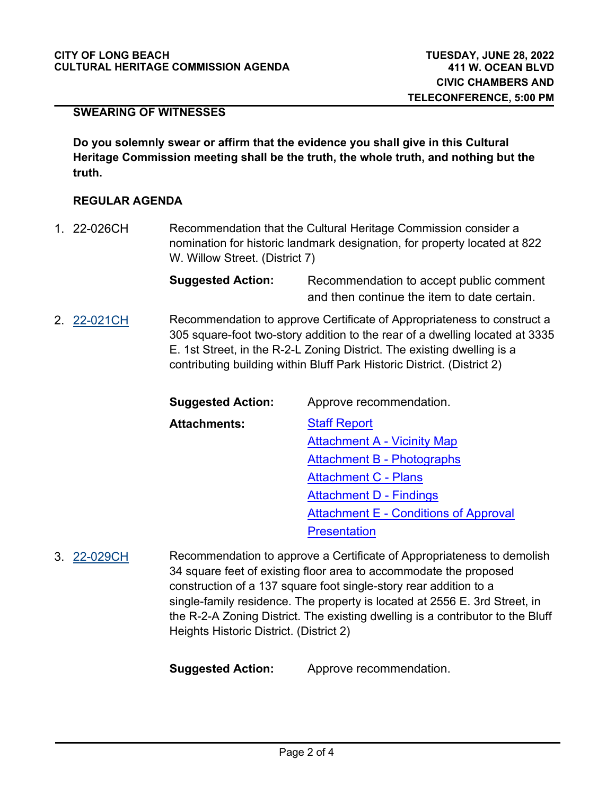### **SWEARING OF WITNESSES**

**Do you solemnly swear or affirm that the evidence you shall give in this Cultural Heritage Commission meeting shall be the truth, the whole truth, and nothing but the truth.**

#### **REGULAR AGENDA**

Recommendation that the Cultural Heritage Commission consider a nomination for historic landmark designation, for property located at 822 W. Willow Street. (District 7) 1. 22-026CH

> **Suggested Action:** Recommendation to accept public comment and then continue the item to date certain.

Recommendation to approve Certificate of Appropriateness to construct a 305 square-foot two-story addition to the rear of a dwelling located at 3335 E. 1st Street, in the R-2-L Zoning District. The existing dwelling is a contributing building within Bluff Park Historic District. (District 2) 2. [22-021CH](http://longbeach.legistar.com/gateway.aspx?M=L&ID=239481)

| <b>Suggested Action:</b> | Approve recommendation.                      |
|--------------------------|----------------------------------------------|
| <b>Attachments:</b>      | <b>Staff Report</b>                          |
|                          | <b>Attachment A - Vicinity Map</b>           |
|                          | Attachment B - Photographs                   |
|                          | <b>Attachment C - Plans</b>                  |
|                          | <b>Attachment D - Findings</b>               |
|                          | <b>Attachment E - Conditions of Approval</b> |
|                          | <b>Presentation</b>                          |

Recommendation to approve a Certificate of Appropriateness to demolish 34 square feet of existing floor area to accommodate the proposed construction of a 137 square foot single-story rear addition to a single-family residence. The property is located at 2556 E. 3rd Street, in the R-2-A Zoning District. The existing dwelling is a contributor to the Bluff Heights Historic District. (District 2) 3. [22-029CH](http://longbeach.legistar.com/gateway.aspx?M=L&ID=239934)

**Suggested Action:** Approve recommendation.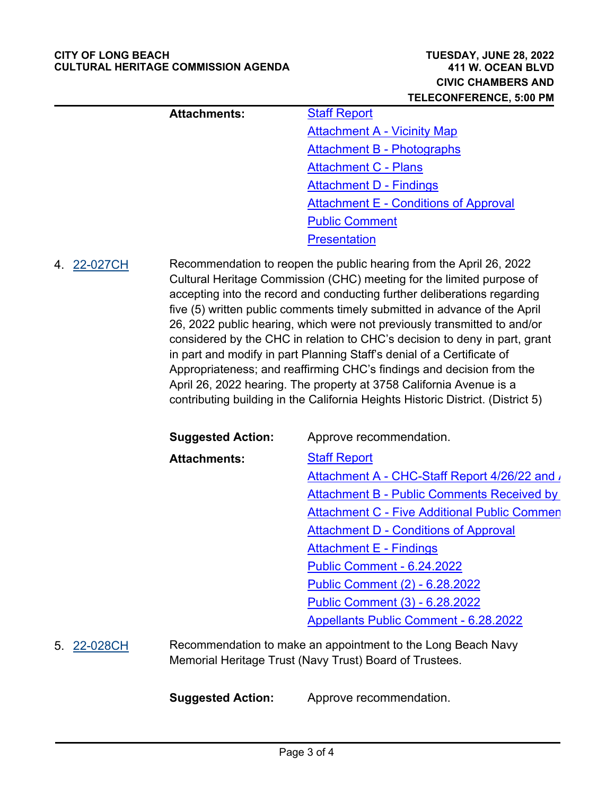#### **CITY OF LONG BEACH CULTURAL HERITAGE COMMISSION AGENDA**

|             |                          | <b>TELECONFERENCE, 5:00 PM</b>                                                                                                                                                                                                                                                                                                                                                                                                                                                                                                                                                                                                                                                                        |
|-------------|--------------------------|-------------------------------------------------------------------------------------------------------------------------------------------------------------------------------------------------------------------------------------------------------------------------------------------------------------------------------------------------------------------------------------------------------------------------------------------------------------------------------------------------------------------------------------------------------------------------------------------------------------------------------------------------------------------------------------------------------|
|             | <b>Attachments:</b>      | <b>Staff Report</b>                                                                                                                                                                                                                                                                                                                                                                                                                                                                                                                                                                                                                                                                                   |
|             |                          | <b>Attachment A - Vicinity Map</b>                                                                                                                                                                                                                                                                                                                                                                                                                                                                                                                                                                                                                                                                    |
|             |                          | Attachment B - Photographs                                                                                                                                                                                                                                                                                                                                                                                                                                                                                                                                                                                                                                                                            |
|             |                          | <b>Attachment C - Plans</b>                                                                                                                                                                                                                                                                                                                                                                                                                                                                                                                                                                                                                                                                           |
|             |                          | <b>Attachment D - Findings</b>                                                                                                                                                                                                                                                                                                                                                                                                                                                                                                                                                                                                                                                                        |
|             |                          | <b>Attachment E - Conditions of Approval</b>                                                                                                                                                                                                                                                                                                                                                                                                                                                                                                                                                                                                                                                          |
|             |                          | <b>Public Comment</b>                                                                                                                                                                                                                                                                                                                                                                                                                                                                                                                                                                                                                                                                                 |
|             |                          | <b>Presentation</b>                                                                                                                                                                                                                                                                                                                                                                                                                                                                                                                                                                                                                                                                                   |
|             |                          | Cultural Heritage Commission (CHC) meeting for the limited purpose of<br>accepting into the record and conducting further deliberations regarding<br>five (5) written public comments timely submitted in advance of the April<br>26, 2022 public hearing, which were not previously transmitted to and/or<br>considered by the CHC in relation to CHC's decision to deny in part, grant<br>in part and modify in part Planning Staff's denial of a Certificate of<br>Appropriateness; and reaffirming CHC's findings and decision from the<br>April 26, 2022 hearing. The property at 3758 California Avenue is a<br>contributing building in the California Heights Historic District. (District 5) |
|             | <b>Suggested Action:</b> | Approve recommendation.                                                                                                                                                                                                                                                                                                                                                                                                                                                                                                                                                                                                                                                                               |
|             | <b>Attachments:</b>      | <b>Staff Report</b>                                                                                                                                                                                                                                                                                                                                                                                                                                                                                                                                                                                                                                                                                   |
|             |                          | Attachment A - CHC-Staff Report 4/26/22 and                                                                                                                                                                                                                                                                                                                                                                                                                                                                                                                                                                                                                                                           |
|             |                          | <b>Attachment B - Public Comments Received by</b>                                                                                                                                                                                                                                                                                                                                                                                                                                                                                                                                                                                                                                                     |
|             |                          | <b>Attachment C - Five Additional Public Commen</b>                                                                                                                                                                                                                                                                                                                                                                                                                                                                                                                                                                                                                                                   |
|             |                          | <b>Attachment D - Conditions of Approval</b>                                                                                                                                                                                                                                                                                                                                                                                                                                                                                                                                                                                                                                                          |
|             |                          | <b>Attachment E - Findings</b>                                                                                                                                                                                                                                                                                                                                                                                                                                                                                                                                                                                                                                                                        |
|             |                          | <b>Public Comment - 6.24.2022</b>                                                                                                                                                                                                                                                                                                                                                                                                                                                                                                                                                                                                                                                                     |
|             |                          | <b>Public Comment (2) - 6.28.2022</b>                                                                                                                                                                                                                                                                                                                                                                                                                                                                                                                                                                                                                                                                 |
|             |                          | Public Comment (3) - 6.28.2022                                                                                                                                                                                                                                                                                                                                                                                                                                                                                                                                                                                                                                                                        |
|             |                          | <b>Appellants Public Comment - 6.28.2022</b>                                                                                                                                                                                                                                                                                                                                                                                                                                                                                                                                                                                                                                                          |
| 5. 22-028CH |                          | Recommendation to make an appointment to the Long Beach Navy<br>Memorial Heritage Trust (Navy Trust) Board of Trustees.                                                                                                                                                                                                                                                                                                                                                                                                                                                                                                                                                                               |
|             | <b>Suggested Action:</b> | Approve recommendation.                                                                                                                                                                                                                                                                                                                                                                                                                                                                                                                                                                                                                                                                               |